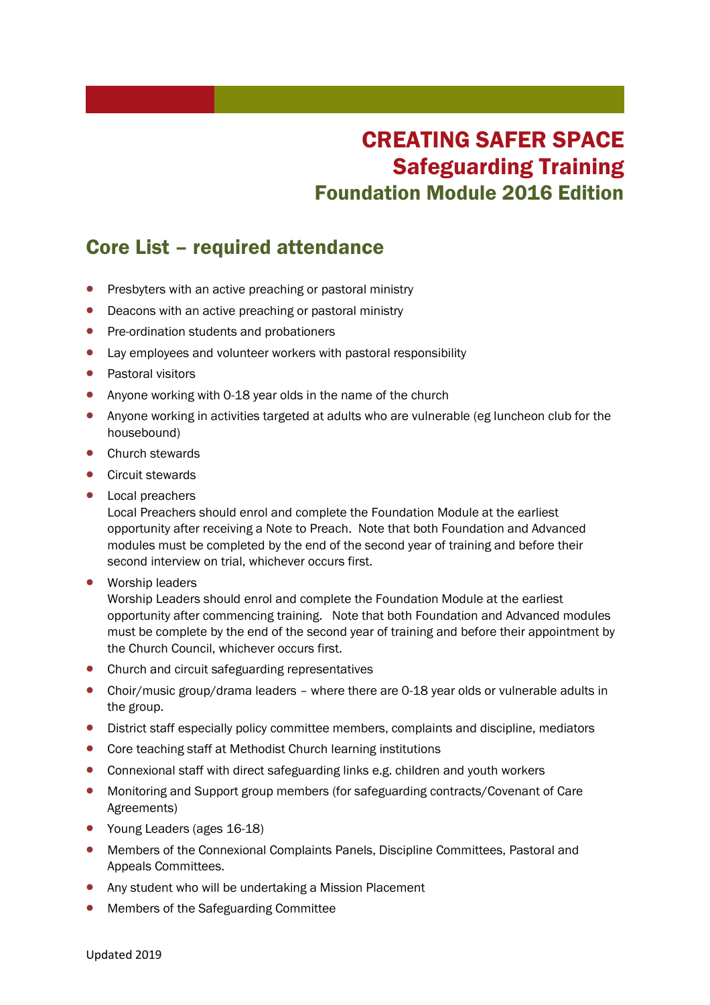## CREATING SAFER SPACE Safeguarding Training Foundation Module 2016 Edition

## Core List – required attendance

- **•** Presbyters with an active preaching or pastoral ministry
- Deacons with an active preaching or pastoral ministry
- Pre-ordination students and probationers
- Lay employees and volunteer workers with pastoral responsibility
- Pastoral visitors
- Anyone working with 0-18 year olds in the name of the church
- Anyone working in activities targeted at adults who are vulnerable (eg luncheon club for the housebound)
- Church stewards
- Circuit stewards
- Local preachers

Local Preachers should enrol and complete the Foundation Module at the earliest opportunity after receiving a Note to Preach. Note that both Foundation and Advanced modules must be completed by the end of the second year of training and before their second interview on trial, whichever occurs first.

Worship leaders

Worship Leaders should enrol and complete the Foundation Module at the earliest opportunity after commencing training. Note that both Foundation and Advanced modules must be complete by the end of the second year of training and before their appointment by the Church Council, whichever occurs first.

- Church and circuit safeguarding representatives
- Choir/music group/drama leaders where there are 0-18 year olds or vulnerable adults in the group.
- District staff especially policy committee members, complaints and discipline, mediators
- Core teaching staff at Methodist Church learning institutions
- Connexional staff with direct safeguarding links e.g. children and youth workers
- Monitoring and Support group members (for safeguarding contracts/Covenant of Care Agreements)
- Young Leaders (ages 16-18)
- Members of the Connexional Complaints Panels, Discipline Committees, Pastoral and Appeals Committees.
- Any student who will be undertaking a Mission Placement
- Members of the Safeguarding Committee